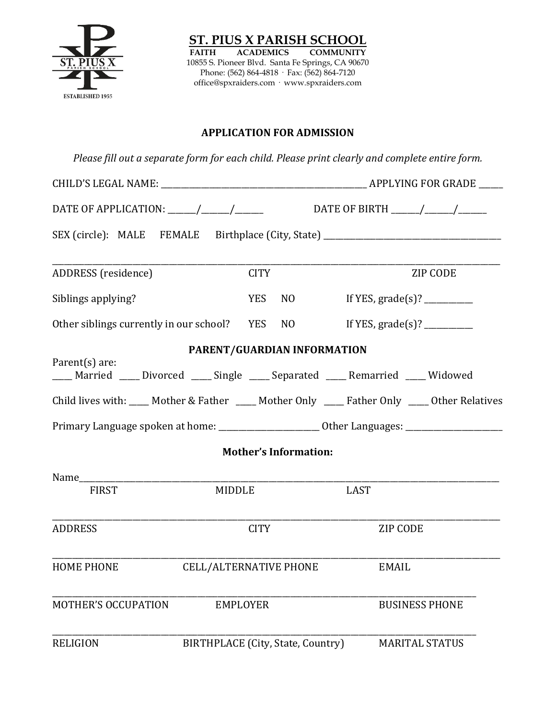

**ST. PIUS X PARISH SCHOOL**<br>FAITH ACADEMICS COMMUNITY **COMMUNITY** 10855 S. Pioneer Blvd. Santa Fe Springs, CA 90670 Phone: (562) 864-4818 · Fax: (562) 864-7120 office@spxraiders.com · www.spxraiders.com

### **APPLICATION FOR ADMISSION**

*Please fill out a separate form for each child. Please print clearly and complete entire form.*

|                            |                                   |                              | DATE OF APPLICATION: _____/_____/___________________DATE OF BIRTH ______/______/_______             |  |  |
|----------------------------|-----------------------------------|------------------------------|-----------------------------------------------------------------------------------------------------|--|--|
|                            |                                   |                              | SEX (circle): MALE FEMALE Birthplace (City, State) _____________________________                    |  |  |
| ADDRESS (residence)        | <b>CITY</b>                       |                              | ZIP CODE                                                                                            |  |  |
| Siblings applying?         | <b>YES</b>                        | NO                           |                                                                                                     |  |  |
|                            |                                   |                              | Other siblings currently in our school? YES NO If YES, grade(s)? ________                           |  |  |
|                            | PARENT/GUARDIAN INFORMATION       |                              |                                                                                                     |  |  |
| Parent(s) are:             |                                   |                              | ___ Married ___ Divorced ___ Single ___ Separated ___ Remarried ___ Widowed                         |  |  |
|                            |                                   |                              | Child lives with: ____ Mother & Father ____ Mother Only ____ Father Only ____ Other Relatives       |  |  |
|                            |                                   |                              | Primary Language spoken at home: ___________________________Other Languages: ______________________ |  |  |
|                            |                                   | <b>Mother's Information:</b> |                                                                                                     |  |  |
|                            |                                   |                              |                                                                                                     |  |  |
| <b>FIRST</b>               | <b>MIDDLE</b>                     |                              | <b>LAST</b>                                                                                         |  |  |
| <b>ADDRESS</b>             | <b>CITY</b>                       |                              | <b>ZIP CODE</b>                                                                                     |  |  |
| <b>HOME PHONE</b>          | <b>CELL/ALTERNATIVE PHONE</b>     |                              | <b>EMAIL</b>                                                                                        |  |  |
| <b>MOTHER'S OCCUPATION</b> | <b>EMPLOYER</b>                   |                              | <b>BUSINESS PHONE</b>                                                                               |  |  |
| <b>RELIGION</b>            | BIRTHPLACE (City, State, Country) |                              | <b>MARITAL STATUS</b>                                                                               |  |  |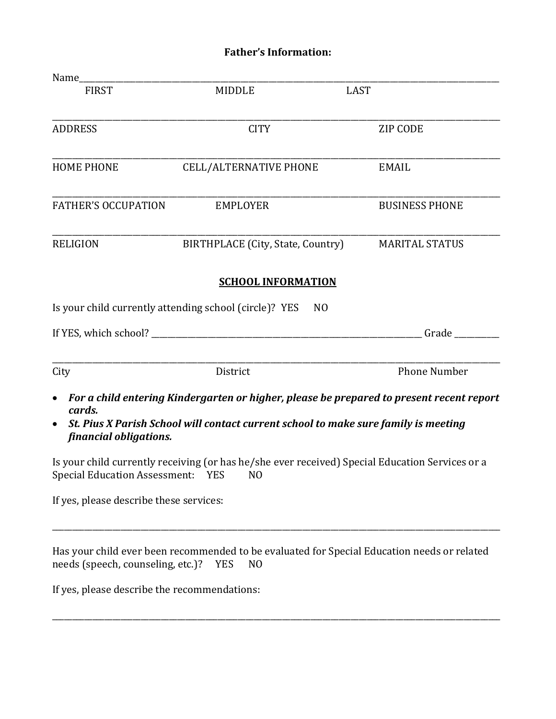# **Father's Information:**

| Name_                                                      |                                                                                                                                                                                 |                       |
|------------------------------------------------------------|---------------------------------------------------------------------------------------------------------------------------------------------------------------------------------|-----------------------|
| <b>FIRST</b>                                               | <b>MIDDLE</b>                                                                                                                                                                   | <b>LAST</b>           |
| <b>ADDRESS</b>                                             | <b>CITY</b>                                                                                                                                                                     | <b>ZIP CODE</b>       |
| <b>HOME PHONE</b>                                          | <b>CELL/ALTERNATIVE PHONE</b>                                                                                                                                                   | <b>EMAIL</b>          |
| <b>FATHER'S OCCUPATION</b>                                 | <b>EMPLOYER</b>                                                                                                                                                                 | <b>BUSINESS PHONE</b> |
| <b>RELIGION</b>                                            | BIRTHPLACE (City, State, Country)                                                                                                                                               | <b>MARITAL STATUS</b> |
|                                                            | <b>SCHOOL INFORMATION</b><br>Is your child currently attending school (circle)? YES<br>N <sub>0</sub>                                                                           |                       |
|                                                            |                                                                                                                                                                                 | Grade                 |
| City                                                       | District                                                                                                                                                                        | <b>Phone Number</b>   |
| $\bullet$<br>cards.<br>$\bullet$<br>financial obligations. | For a child entering Kindergarten or higher, please be prepared to present recent report<br>St. Pius X Parish School will contact current school to make sure family is meeting |                       |
| Special Education Assessment: YES                          | Is your child currently receiving (or has he/she ever received) Special Education Services or a<br>N <sub>0</sub>                                                               |                       |
| If yes, please describe these services:                    |                                                                                                                                                                                 |                       |

Has your child ever been recommended to be evaluated for Special Education needs or related needs (speech, counseling, etc.)? YES NO needs (speech, counseling, etc.)? YES

\_\_\_\_\_\_\_\_\_\_\_\_\_\_\_\_\_\_\_\_\_\_\_\_\_\_\_\_\_\_\_\_\_\_\_\_\_\_\_\_\_\_\_\_\_\_\_\_\_\_\_\_\_\_\_\_\_\_\_\_\_\_\_\_\_\_\_\_\_\_\_\_\_\_\_\_\_\_\_\_\_\_\_\_\_\_\_\_\_\_\_\_\_\_\_\_\_\_\_\_\_\_\_\_\_\_\_\_\_\_\_

\_\_\_\_\_\_\_\_\_\_\_\_\_\_\_\_\_\_\_\_\_\_\_\_\_\_\_\_\_\_\_\_\_\_\_\_\_\_\_\_\_\_\_\_\_\_\_\_\_\_\_\_\_\_\_\_\_\_\_\_\_\_\_\_\_\_\_\_\_\_\_\_\_\_\_\_\_\_\_\_\_\_\_\_\_\_\_\_\_\_\_\_\_\_\_\_\_\_\_\_\_\_\_\_\_\_\_\_\_\_\_

If yes, please describe the recommendations: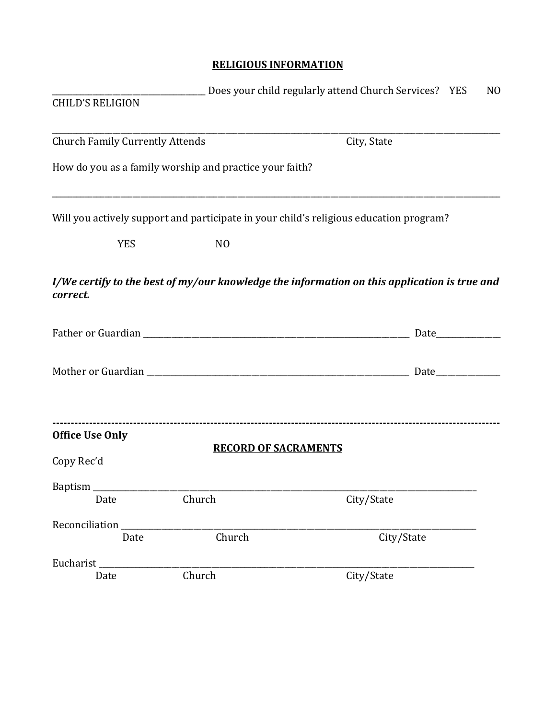### **RELIGIOUS INFORMATION**

|                                        |                                                         | Does your child regularly attend Church Services? YES<br>N <sub>O</sub>                      |
|----------------------------------------|---------------------------------------------------------|----------------------------------------------------------------------------------------------|
| <b>CHILD'S RELIGION</b>                |                                                         |                                                                                              |
| <b>Church Family Currently Attends</b> |                                                         | City, State                                                                                  |
|                                        | How do you as a family worship and practice your faith? |                                                                                              |
|                                        |                                                         | Will you actively support and participate in your child's religious education program?       |
| <b>YES</b>                             | N <sub>O</sub>                                          |                                                                                              |
| correct.                               |                                                         | I/We certify to the best of my/our knowledge the information on this application is true and |
|                                        |                                                         |                                                                                              |
|                                        |                                                         |                                                                                              |
| <b>Office Use Only</b>                 | <b>RECORD OF SACRAMENTS</b>                             |                                                                                              |
| Copy Rec'd                             |                                                         |                                                                                              |
| <b>Baptism</b>                         |                                                         |                                                                                              |
| Date                                   | Church                                                  | City/State                                                                                   |
| Reconciliation                         |                                                         |                                                                                              |
| Date                                   | Church                                                  | City/State                                                                                   |
| Eucharist <sub>_______________</sub>   |                                                         |                                                                                              |
| Date                                   | Church                                                  | City/State                                                                                   |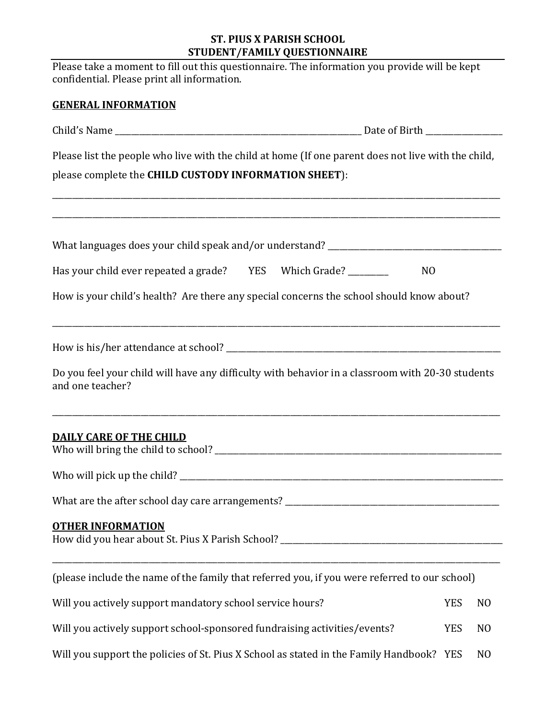### **ST. PIUS X PARISH SCHOOL STUDENT/FAMILY QUESTIONNAIRE**

| Please take a moment to fill out this questionnaire. The information you provide will be kept<br>confidential. Please print all information. |            |                |  |  |  |
|----------------------------------------------------------------------------------------------------------------------------------------------|------------|----------------|--|--|--|
| <b>GENERAL INFORMATION</b>                                                                                                                   |            |                |  |  |  |
|                                                                                                                                              |            |                |  |  |  |
| Please list the people who live with the child at home (If one parent does not live with the child,                                          |            |                |  |  |  |
| please complete the CHILD CUSTODY INFORMATION SHEET):                                                                                        |            |                |  |  |  |
| <u> 1989 - Andrea Stadt Britain, amerikan bernama di sebagai bernama di sebagai bernama di sebagai bernama di se</u>                         |            |                |  |  |  |
| Has your child ever repeated a grade? YES Which Grade? ________<br>N <sub>0</sub>                                                            |            |                |  |  |  |
| How is your child's health? Are there any special concerns the school should know about?                                                     |            |                |  |  |  |
|                                                                                                                                              |            |                |  |  |  |
| Do you feel your child will have any difficulty with behavior in a classroom with 20-30 students<br>and one teacher?                         |            |                |  |  |  |
| <b>DAILY CARE OF THE CHILD</b>                                                                                                               |            |                |  |  |  |
|                                                                                                                                              |            |                |  |  |  |
|                                                                                                                                              |            |                |  |  |  |
| <b>OTHER INFORMATION</b>                                                                                                                     |            |                |  |  |  |
| (please include the name of the family that referred you, if you were referred to our school)                                                |            |                |  |  |  |
| Will you actively support mandatory school service hours?                                                                                    | <b>YES</b> | N <sub>0</sub> |  |  |  |
| Will you actively support school-sponsored fundraising activities/events?                                                                    | <b>YES</b> | N <sub>0</sub> |  |  |  |
| Will you support the policies of St. Pius X School as stated in the Family Handbook? YES                                                     |            | N <sub>0</sub> |  |  |  |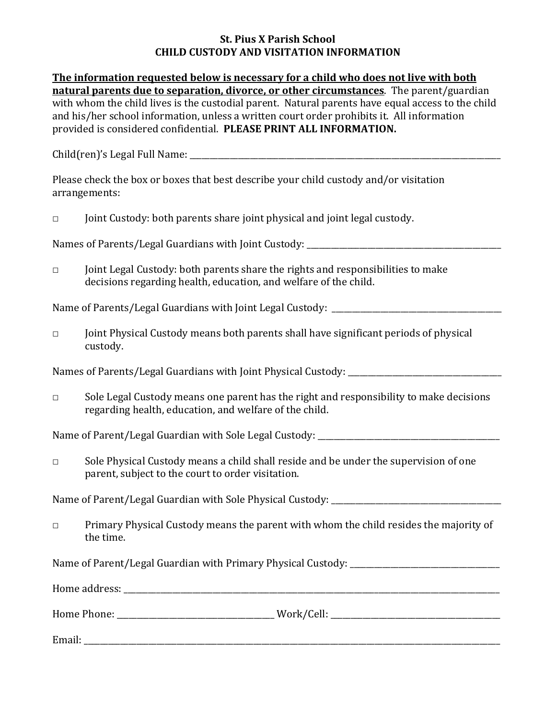#### **St. Pius X Parish School CHILD CUSTODY AND VISITATION INFORMATION**

| The information requested below is necessary for a child who does not live with both              |
|---------------------------------------------------------------------------------------------------|
| natural parents due to separation, divorce, or other circumstances. The parent/guardian           |
| with whom the child lives is the custodial parent. Natural parents have equal access to the child |
| and his/her school information, unless a written court order prohibits it. All information        |
| provided is considered confidential. PLEASE PRINT ALL INFORMATION.                                |

Child(ren)'s Legal Full Name: \_\_\_\_\_\_\_\_\_\_\_\_\_\_\_\_\_\_\_\_\_\_\_\_\_\_\_\_\_\_\_\_\_\_\_\_\_\_\_\_\_\_\_\_\_\_\_\_\_\_\_\_\_\_\_\_\_\_\_\_\_\_\_\_\_\_\_\_\_\_\_\_\_\_\_\_\_

Please check the box or boxes that best describe your child custody and/or visitation arrangements:

□ Joint Custody: both parents share joint physical and joint legal custody.

Names of Parents/Legal Guardians with Joint Custody: \_\_\_\_\_\_\_\_\_\_\_\_\_\_\_\_\_\_\_\_\_\_\_\_\_\_\_

 $\Box$  Joint Legal Custody: both parents share the rights and responsibilities to make decisions regarding health, education, and welfare of the child.

Name of Parents/Legal Guardians with Joint Legal Custody: \_\_\_\_\_\_\_\_\_\_\_\_\_\_\_\_\_\_\_\_\_\_\_\_\_\_\_\_\_\_\_\_\_\_\_\_\_\_\_\_\_\_

□ Joint Physical Custody means both parents shall have significant periods of physical custody.

Names of Parents/Legal Guardians with Joint Physical Custody:

 $\Box$  Sole Legal Custody means one parent has the right and responsibility to make decisions regarding health, education, and welfare of the child.

Name of Parent/Legal Guardian with Sole Legal Custody: \_\_\_\_\_\_\_\_\_\_\_\_\_\_\_\_\_\_\_\_\_\_\_\_\_\_

□ Sole Physical Custody means a child shall reside and be under the supervision of one parent, subject to the court to order visitation.

Name of Parent/Legal Guardian with Sole Physical Custody: \_\_\_\_\_\_\_\_\_\_\_\_\_\_\_\_\_\_\_\_\_\_\_

 $\Box$  Primary Physical Custody means the parent with whom the child resides the majority of the time.

Name of Parent/Legal Guardian with Primary Physical Custody:

| Home address: |  |  |  |
|---------------|--|--|--|
|               |  |  |  |

Home Phone: \_\_\_\_\_\_\_\_\_\_\_\_\_\_\_\_\_\_\_\_\_\_\_\_\_\_\_\_\_\_\_\_\_\_\_\_\_\_\_ Work/Cell: \_\_\_\_\_\_\_\_\_\_\_\_\_\_\_\_\_\_\_\_\_\_\_\_\_\_\_\_\_\_\_\_\_\_\_\_\_\_\_\_\_\_

Email: \_\_\_\_\_\_\_\_\_\_\_\_\_\_\_\_\_\_\_\_\_\_\_\_\_\_\_\_\_\_\_\_\_\_\_\_\_\_\_\_\_\_\_\_\_\_\_\_\_\_\_\_\_\_\_\_\_\_\_\_\_\_\_\_\_\_\_\_\_\_\_\_\_\_\_\_\_\_\_\_\_\_\_\_\_\_\_\_\_\_\_\_\_\_\_\_\_\_\_\_\_\_\_